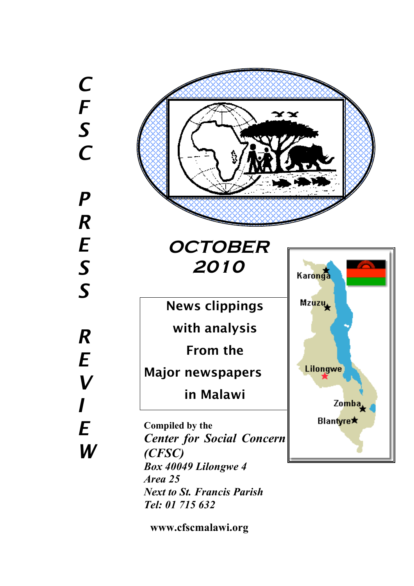*C F S C P R E S S R E V I E W*



**www.cfscmalawi.org**

*Tel: 01 715 632*

*Next to St. Francis Parish*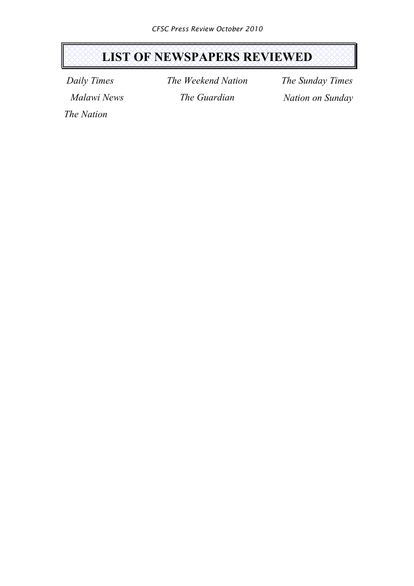# **LIST OF NEWSPAPERS REVIEWED**

*Daily Times Malawi News* *The Weekend Nation The Guardian*

*The Sunday Times Nation on Sunday*

*The Nation*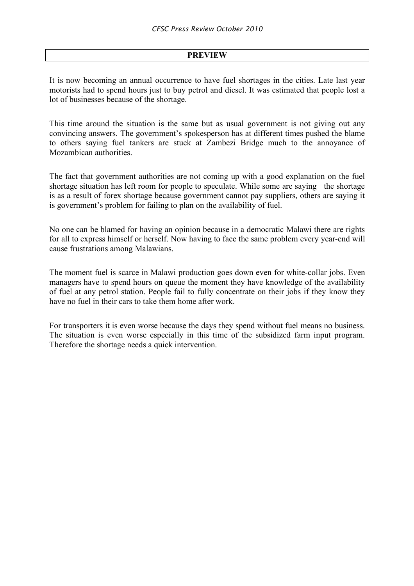# **PREVIEW**

It is now becoming an annual occurrence to have fuel shortages in the cities. Late last year motorists had to spend hours just to buy petrol and diesel. It was estimated that people lost a lot of businesses because of the shortage.

This time around the situation is the same but as usual government is not giving out any convincing answers. The government's spokesperson has at different times pushed the blame to others saying fuel tankers are stuck at Zambezi Bridge much to the annoyance of Mozambican authorities.

The fact that government authorities are not coming up with a good explanation on the fuel shortage situation has left room for people to speculate. While some are saying the shortage is as a result of forex shortage because government cannot pay suppliers, others are saying it is government's problem for failing to plan on the availability of fuel.

No one can be blamed for having an opinion because in a democratic Malawi there are rights for all to express himself or herself. Now having to face the same problem every year-end will cause frustrations among Malawians.

The moment fuel is scarce in Malawi production goes down even for white-collar jobs. Even managers have to spend hours on queue the moment they have knowledge of the availability of fuel at any petrol station. People fail to fully concentrate on their jobs if they know they have no fuel in their cars to take them home after work.

For transporters it is even worse because the days they spend without fuel means no business. The situation is even worse especially in this time of the subsidized farm input program. Therefore the shortage needs a quick intervention.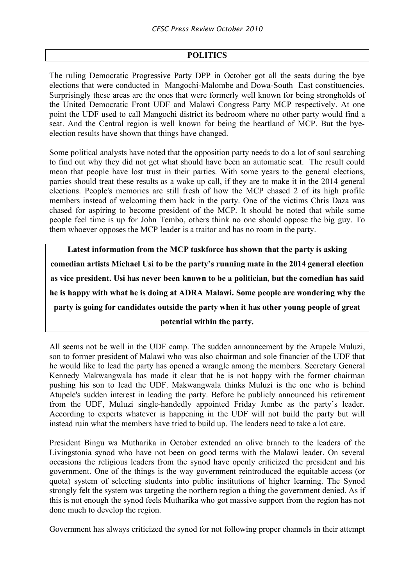# **POLITICS**

The ruling Democratic Progressive Party DPP in October got all the seats during the bye elections that were conducted in Mangochi-Malombe and Dowa-South East constituencies. Surprisingly these areas are the ones that were formerly well known for being strongholds of the United Democratic Front UDF and Malawi Congress Party MCP respectively. At one point the UDF used to call Mangochi district its bedroom where no other party would find a seat. And the Central region is well known for being the heartland of MCP. But the byeelection results have shown that things have changed.

Some political analysts have noted that the opposition party needs to do a lot of soul searching to find out why they did not get what should have been an automatic seat. The result could mean that people have lost trust in their parties. With some years to the general elections, parties should treat these results as a wake up call, if they are to make it in the 2014 general elections. People's memories are still fresh of how the MCP chased 2 of its high profile members instead of welcoming them back in the party. One of the victims Chris Daza was chased for aspiring to become president of the MCP. It should be noted that while some people feel time is up for John Tembo, others think no one should oppose the big guy. To them whoever opposes the MCP leader is a traitor and has no room in the party.

**Latest information from the MCP taskforce has shown that the party is asking comedian artists Michael Usi to be the party's running mate in the 2014 general election as vice president. Usi has never been known to be a politician, but the comedian has said he is happy with what he is doing at ADRA Malawi. Some people are wondering why the party is going for candidates outside the party when it has other young people of great potential within the party.**

All seems not be well in the UDF camp. The sudden announcement by the Atupele Muluzi, son to former president of Malawi who was also chairman and sole financier of the UDF that he would like to lead the party has opened a wrangle among the members. Secretary General Kennedy Makwangwala has made it clear that he is not happy with the former chairman pushing his son to lead the UDF. Makwangwala thinks Muluzi is the one who is behind Atupele's sudden interest in leading the party. Before he publicly announced his retirement from the UDF, Muluzi single-handedly appointed Friday Jumbe as the party's leader. According to experts whatever is happening in the UDF will not build the party but will instead ruin what the members have tried to build up. The leaders need to take a lot care.

President Bingu wa Mutharika in October extended an olive branch to the leaders of the Livingstonia synod who have not been on good terms with the Malawi leader. On several occasions the religious leaders from the synod have openly criticized the president and his government. One of the things is the way government reintroduced the equitable access (or quota) system of selecting students into public institutions of higher learning. The Synod strongly felt the system was targeting the northern region a thing the government denied. As if this is not enough the synod feels Mutharika who got massive support from the region has not done much to develop the region.

Government has always criticized the synod for not following proper channels in their attempt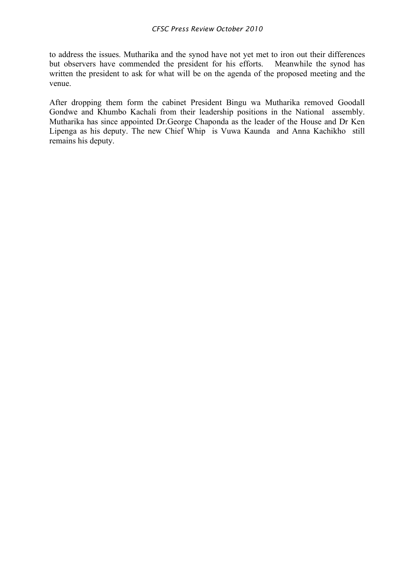to address the issues. Mutharika and the synod have not yet met to iron out their differences but observers have commended the president for his efforts. Meanwhile the synod has written the president to ask for what will be on the agenda of the proposed meeting and the venue.

After dropping them form the cabinet President Bingu wa Mutharika removed Goodall Gondwe and Khumbo Kachali from their leadership positions in the National assembly. Mutharika has since appointed Dr.George Chaponda as the leader of the House and Dr Ken Lipenga as his deputy. The new Chief Whip is Vuwa Kaunda and Anna Kachikho still remains his deputy.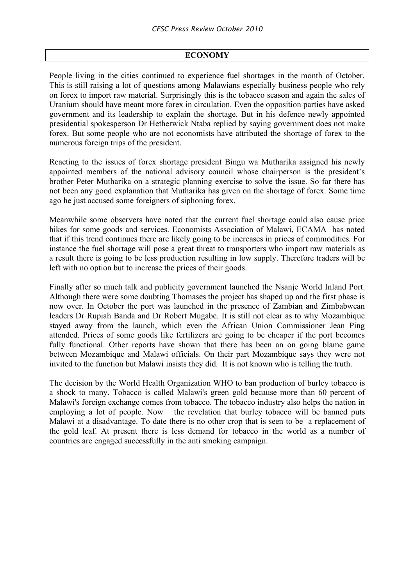## **ECONOMY**

People living in the cities continued to experience fuel shortages in the month of October. This is still raising a lot of questions among Malawians especially business people who rely on forex to import raw material. Surprisingly this is the tobacco season and again the sales of Uranium should have meant more forex in circulation. Even the opposition parties have asked government and its leadership to explain the shortage. But in his defence newly appointed presidential spokesperson Dr Hetherwick Ntaba replied by saying government does not make forex. But some people who are not economists have attributed the shortage of forex to the numerous foreign trips of the president.

Reacting to the issues of forex shortage president Bingu wa Mutharika assigned his newly appointed members of the national advisory council whose chairperson is the president's brother Peter Mutharika on a strategic planning exercise to solve the issue. So far there has not been any good explanation that Mutharika has given on the shortage of forex. Some time ago he just accused some foreigners of siphoning forex.

Meanwhile some observers have noted that the current fuel shortage could also cause price hikes for some goods and services. Economists Association of Malawi, ECAMA has noted that if this trend continues there are likely going to be increases in prices of commodities. For instance the fuel shortage will pose a great threat to transporters who import raw materials as a result there is going to be less production resulting in low supply. Therefore traders will be left with no option but to increase the prices of their goods.

Finally after so much talk and publicity government launched the Nsanje World Inland Port. Although there were some doubting Thomases the project has shaped up and the first phase is now over. In October the port was launched in the presence of Zambian and Zimbabwean leaders Dr Rupiah Banda and Dr Robert Mugabe. It is still not clear as to why Mozambique stayed away from the launch, which even the African Union Commissioner Jean Ping attended. Prices of some goods like fertilizers are going to be cheaper if the port becomes fully functional. Other reports have shown that there has been an on going blame game between Mozambique and Malawi officials. On their part Mozambique says they were not invited to the function but Malawi insists they did. It is not known who is telling the truth.

The decision by the World Health Organization WHO to ban production of burley tobacco is a shock to many. Tobacco is called Malawi's green gold because more than 60 percent of Malawi's foreign exchange comes from tobacco. The tobacco industry also helps the nation in employing a lot of people. Now the revelation that burley tobacco will be banned puts Malawi at a disadvantage. To date there is no other crop that is seen to be a replacement of the gold leaf. At present there is less demand for tobacco in the world as a number of countries are engaged successfully in the anti smoking campaign.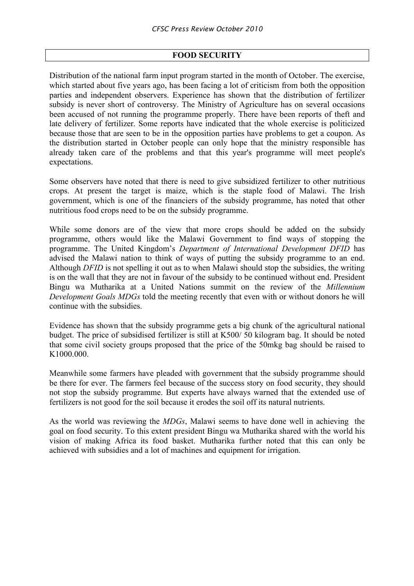## **FOOD SECURITY**

Distribution of the national farm input program started in the month of October. The exercise, which started about five years ago, has been facing a lot of criticism from both the opposition parties and independent observers. Experience has shown that the distribution of fertilizer subsidy is never short of controversy. The Ministry of Agriculture has on several occasions been accused of not running the programme properly. There have been reports of theft and late delivery of fertilizer. Some reports have indicated that the whole exercise is politicized because those that are seen to be in the opposition parties have problems to get a coupon. As the distribution started in October people can only hope that the ministry responsible has already taken care of the problems and that this year's programme will meet people's expectations.

Some observers have noted that there is need to give subsidized fertilizer to other nutritious crops. At present the target is maize, which is the staple food of Malawi. The Irish government, which is one of the financiers of the subsidy programme, has noted that other nutritious food crops need to be on the subsidy programme.

While some donors are of the view that more crops should be added on the subsidy programme, others would like the Malawi Government to find ways of stopping the programme. The United Kingdom's *Department of International Development DFID* has advised the Malawi nation to think of ways of putting the subsidy programme to an end. Although *DFID* is not spelling it out as to when Malawi should stop the subsidies, the writing is on the wall that they are not in favour of the subsidy to be continued without end. President Bingu wa Mutharika at a United Nations summit on the review of the *Millennium Development Goals MDGs* told the meeting recently that even with or without donors he will continue with the subsidies.

Evidence has shown that the subsidy programme gets a big chunk of the agricultural national budget. The price of subsidised fertilizer is still at K500/ 50 kilogram bag. It should be noted that some civil society groups proposed that the price of the 50mkg bag should be raised to K1000.000.

Meanwhile some farmers have pleaded with government that the subsidy programme should be there for ever. The farmers feel because of the success story on food security, they should not stop the subsidy programme. But experts have always warned that the extended use of fertilizers is not good for the soil because it erodes the soil off its natural nutrients.

As the world was reviewing the *MDGs*, Malawi seems to have done well in achieving the goal on food security. To this extent president Bingu wa Mutharika shared with the world his vision of making Africa its food basket. Mutharika further noted that this can only be achieved with subsidies and a lot of machines and equipment for irrigation.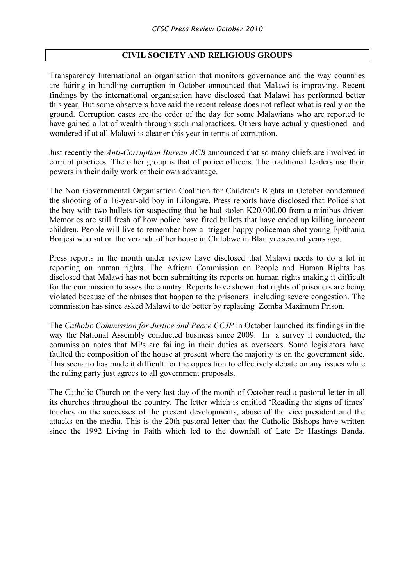# **CIVIL SOCIETY AND RELIGIOUS GROUPS**

Transparency International an organisation that monitors governance and the way countries are fairing in handling corruption in October announced that Malawi is improving. Recent findings by the international organisation have disclosed that Malawi has performed better this year. But some observers have said the recent release does not reflect what is really on the ground. Corruption cases are the order of the day for some Malawians who are reported to have gained a lot of wealth through such malpractices. Others have actually questioned and wondered if at all Malawi is cleaner this year in terms of corruption.

Just recently the *Anti-Corruption Bureau ACB* announced that so many chiefs are involved in corrupt practices. The other group is that of police officers. The traditional leaders use their powers in their daily work ot their own advantage.

The Non Governmental Organisation Coalition for Children's Rights in October condemned the shooting of a 16-year-old boy in Lilongwe. Press reports have disclosed that Police shot the boy with two bullets for suspecting that he had stolen K20,000.00 from a minibus driver. Memories are still fresh of how police have fired bullets that have ended up killing innocent children. People will live to remember how a trigger happy policeman shot young Epithania Bonjesi who sat on the veranda of her house in Chilobwe in Blantyre several years ago.

Press reports in the month under review have disclosed that Malawi needs to do a lot in reporting on human rights. The African Commission on People and Human Rights has disclosed that Malawi has not been submitting its reports on human rights making it difficult for the commission to asses the country. Reports have shown that rights of prisoners are being violated because of the abuses that happen to the prisoners including severe congestion. The commission has since asked Malawi to do better by replacing Zomba Maximum Prison.

The *Catholic Commission for Justice and Peace CCJP* in October launched its findings in the way the National Assembly conducted business since 2009. In a survey it conducted, the commission notes that MPs are failing in their duties as overseers. Some legislators have faulted the composition of the house at present where the majority is on the government side. This scenario has made it difficult for the opposition to effectively debate on any issues while the ruling party just agrees to all government proposals.

The Catholic Church on the very last day of the month of October read a pastoral letter in all its churches throughout the country. The letter which is entitled 'Reading the signs of times' touches on the successes of the present developments, abuse of the vice president and the attacks on the media. This is the 20th pastoral letter that the Catholic Bishops have written since the 1992 Living in Faith which led to the downfall of Late Dr Hastings Banda.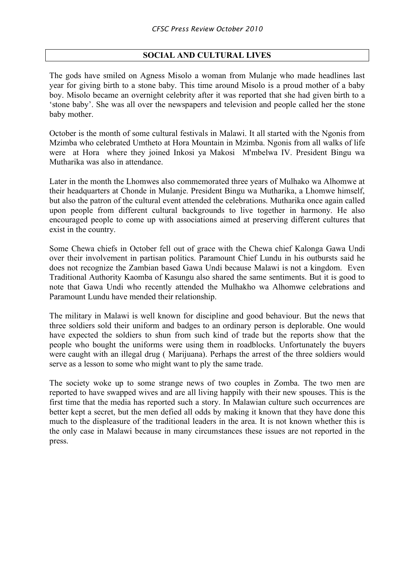# **SOCIAL AND CULTURAL LIVES**

The gods have smiled on Agness Misolo a woman from Mulanje who made headlines last year for giving birth to a stone baby. This time around Misolo is a proud mother of a baby boy. Misolo became an overnight celebrity after it was reported that she had given birth to a 'stone baby'. She was all over the newspapers and television and people called her the stone baby mother.

October is the month of some cultural festivals in Malawi. It all started with the Ngonis from Mzimba who celebrated Umtheto at Hora Mountain in Mzimba. Ngonis from all walks of life were at Hora where they joined Inkosi ya Makosi M'mbelwa IV. President Bingu wa Mutharika was also in attendance.

Later in the month the Lhomwes also commemorated three years of Mulhako wa Alhomwe at their headquarters at Chonde in Mulanje. President Bingu wa Mutharika, a Lhomwe himself, but also the patron of the cultural event attended the celebrations. Mutharika once again called upon people from different cultural backgrounds to live together in harmony. He also encouraged people to come up with associations aimed at preserving different cultures that exist in the country.

Some Chewa chiefs in October fell out of grace with the Chewa chief Kalonga Gawa Undi over their involvement in partisan politics. Paramount Chief Lundu in his outbursts said he does not recognize the Zambian based Gawa Undi because Malawi is not a kingdom. Even Traditional Authority Kaomba of Kasungu also shared the same sentiments. But it is good to note that Gawa Undi who recently attended the Mulhakho wa Alhomwe celebrations and Paramount Lundu have mended their relationship.

The military in Malawi is well known for discipline and good behaviour. But the news that three soldiers sold their uniform and badges to an ordinary person is deplorable. One would have expected the soldiers to shun from such kind of trade but the reports show that the people who bought the uniforms were using them in roadblocks. Unfortunately the buyers were caught with an illegal drug ( Marijuana). Perhaps the arrest of the three soldiers would serve as a lesson to some who might want to ply the same trade.

The society woke up to some strange news of two couples in Zomba. The two men are reported to have swapped wives and are all living happily with their new spouses. This is the first time that the media has reported such a story. In Malawian culture such occurrences are better kept a secret, but the men defied all odds by making it known that they have done this much to the displeasure of the traditional leaders in the area. It is not known whether this is the only case in Malawi because in many circumstances these issues are not reported in the press.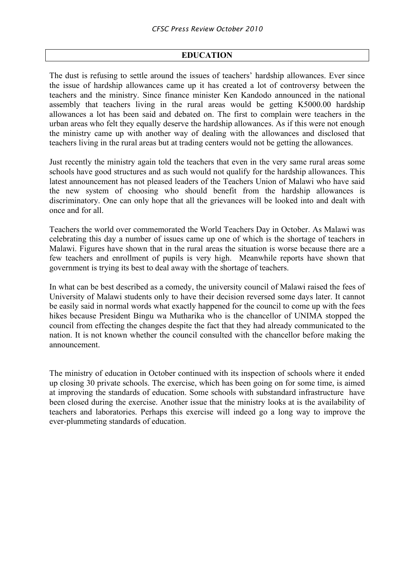### **EDUCATION**

The dust is refusing to settle around the issues of teachers' hardship allowances. Ever since the issue of hardship allowances came up it has created a lot of controversy between the teachers and the ministry. Since finance minister Ken Kandodo announced in the national assembly that teachers living in the rural areas would be getting K5000.00 hardship allowances a lot has been said and debated on. The first to complain were teachers in the urban areas who felt they equally deserve the hardship allowances. As if this were not enough the ministry came up with another way of dealing with the allowances and disclosed that teachers living in the rural areas but at trading centers would not be getting the allowances.

Just recently the ministry again told the teachers that even in the very same rural areas some schools have good structures and as such would not qualify for the hardship allowances. This latest announcement has not pleased leaders of the Teachers Union of Malawi who have said the new system of choosing who should benefit from the hardship allowances is discriminatory. One can only hope that all the grievances will be looked into and dealt with once and for all.

Teachers the world over commemorated the World Teachers Day in October. As Malawi was celebrating this day a number of issues came up one of which is the shortage of teachers in Malawi. Figures have shown that in the rural areas the situation is worse because there are a few teachers and enrollment of pupils is very high. Meanwhile reports have shown that government is trying its best to deal away with the shortage of teachers.

In what can be best described as a comedy, the university council of Malawi raised the fees of University of Malawi students only to have their decision reversed some days later. It cannot be easily said in normal words what exactly happened for the council to come up with the fees hikes because President Bingu wa Mutharika who is the chancellor of UNIMA stopped the council from effecting the changes despite the fact that they had already communicated to the nation. It is not known whether the council consulted with the chancellor before making the announcement.

The ministry of education in October continued with its inspection of schools where it ended up closing 30 private schools. The exercise, which has been going on for some time, is aimed at improving the standards of education. Some schools with substandard infrastructure have been closed during the exercise. Another issue that the ministry looks at is the availability of teachers and laboratories. Perhaps this exercise will indeed go a long way to improve the ever-plummeting standards of education.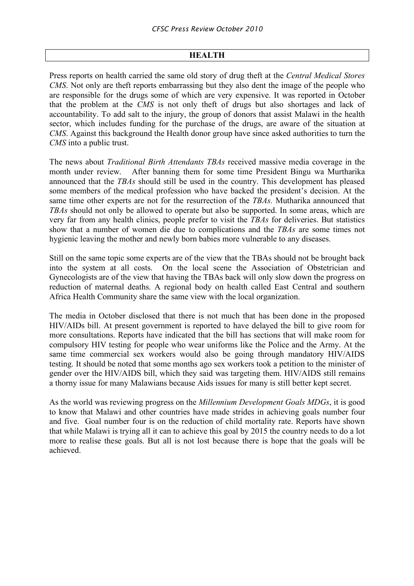### **HEALTH**

Press reports on health carried the same old story of drug theft at the *Central Medical Stores CMS*. Not only are theft reports embarrassing but they also dent the image of the people who are responsible for the drugs some of which are very expensive. It was reported in October that the problem at the *CMS* is not only theft of drugs but also shortages and lack of accountability. To add salt to the injury, the group of donors that assist Malawi in the health sector, which includes funding for the purchase of the drugs, are aware of the situation at *CMS*. Against this background the Health donor group have since asked authorities to turn the *CMS* into a public trust.

The news about *Traditional Birth Attendants TBAs* received massive media coverage in the month under review. After banning them for some time President Bingu wa Murtharika announced that the *TBAs* should still be used in the country. This development has pleased some members of the medical profession who have backed the president's decision. At the same time other experts are not for the resurrection of the *TBAs.* Mutharika announced that *TBAs* should not only be allowed to operate but also be supported. In some areas, which are very far from any health clinics, people prefer to visit the *TBAs* for deliveries. But statistics show that a number of women die due to complications and the *TBAs* are some times not hygienic leaving the mother and newly born babies more vulnerable to any diseases.

Still on the same topic some experts are of the view that the TBAs should not be brought back into the system at all costs. On the local scene the Association of Obstetrician and Gynecologists are of the view that having the TBAs back will only slow down the progress on reduction of maternal deaths. A regional body on health called East Central and southern Africa Health Community share the same view with the local organization.

The media in October disclosed that there is not much that has been done in the proposed HIV/AIDs bill. At present government is reported to have delayed the bill to give room for more consultations. Reports have indicated that the bill has sections that will make room for compulsory HIV testing for people who wear uniforms like the Police and the Army. At the same time commercial sex workers would also be going through mandatory HIV/AIDS testing. It should be noted that some months ago sex workers took a petition to the minister of gender over the HIV/AIDS bill, which they said was targeting them. HIV/AIDS still remains a thorny issue for many Malawians because Aids issues for many is still better kept secret.

As the world was reviewing progress on the *Millennium Development Goals MDGs*, it is good to know that Malawi and other countries have made strides in achieving goals number four and five. Goal number four is on the reduction of child mortality rate. Reports have shown that while Malawi is trying all it can to achieve this goal by 2015 the country needs to do a lot more to realise these goals. But all is not lost because there is hope that the goals will be achieved.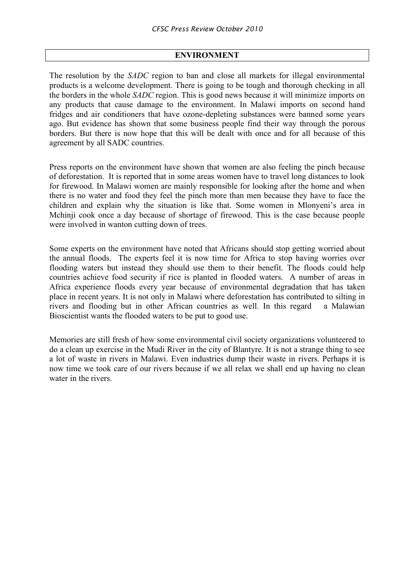#### **ENVIRONMENT**

The resolution by the *SADC* region to ban and close all markets for illegal environmental products is a welcome development. There is going to be tough and thorough checking in all the borders in the whole *SADC* region. This is good news because it will minimize imports on any products that cause damage to the environment. In Malawi imports on second hand fridges and air conditioners that have ozone-depleting substances were banned some years ago. But evidence has shown that some business people find their way through the porous borders. But there is now hope that this will be dealt with once and for all because of this agreement by all SADC countries.

Press reports on the environment have shown that women are also feeling the pinch because of deforestation. It is reported that in some areas women have to travel long distances to look for firewood. In Malawi women are mainly responsible for looking after the home and when there is no water and food they feel the pinch more than men because they have to face the children and explain why the situation is like that. Some women in Mlonyeni's area in Mchinji cook once a day because of shortage of firewood. This is the case because people were involved in wanton cutting down of trees.

Some experts on the environment have noted that Africans should stop getting worried about the annual floods. The experts feel it is now time for Africa to stop having worries over flooding waters but instead they should use them to their benefit. The floods could help countries achieve food security if rice is planted in flooded waters. A number of areas in Africa experience floods every year because of environmental degradation that has taken place in recent years. It is not only in Malawi where deforestation has contributed to silting in rivers and flooding but in other African countries as well. In this regard a Malawian Bioscientist wants the flooded waters to be put to good use.

Memories are still fresh of how some environmental civil society organizations volunteered to do a clean up exercise in the Mudi River in the city of Blantyre. It is not a strange thing to see a lot of waste in rivers in Malawi. Even industries dump their waste in rivers. Perhaps it is now time we took care of our rivers because if we all relax we shall end up having no clean water in the rivers.